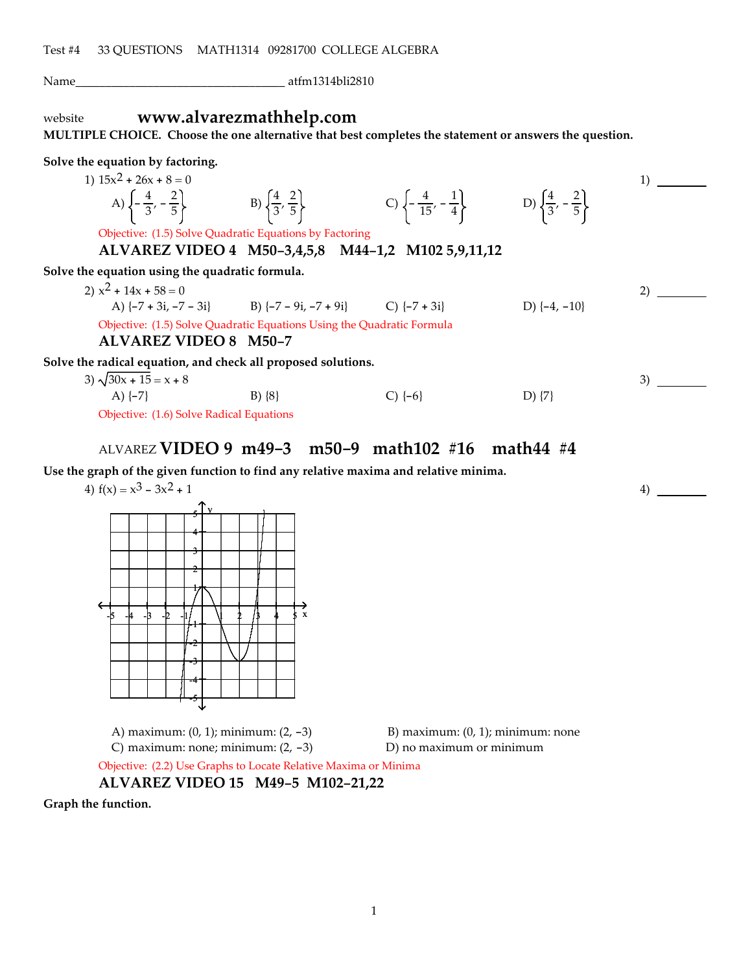Name\_\_\_\_\_\_\_\_\_\_\_\_\_\_\_\_\_\_\_\_\_\_\_\_\_\_\_\_\_\_\_\_\_\_\_ atfm1314bli2810

# website **www.alvarezmathhelp.com**

**MULTIPLE CHOICE. Choose the one alternative that best completes the statement or answers the question.**

**Solve the equation by factoring.**

| 1) $15x^2 + 26x + 8 = 0$                                                                    |            |                                                                                                   |                  |  |
|---------------------------------------------------------------------------------------------|------------|---------------------------------------------------------------------------------------------------|------------------|--|
| A) $\left\{-\frac{4}{3}, -\frac{2}{5}\right\}$ B) $\left\{\frac{4}{3}, \frac{2}{5}\right\}$ |            | C) $\left\{ -\frac{4}{15}, -\frac{1}{4} \right\}$ D) $\left\{ \frac{4}{3}, -\frac{2}{5} \right\}$ |                  |  |
| Objective: (1.5) Solve Quadratic Equations by Factoring                                     |            |                                                                                                   |                  |  |
| ALVAREZ VIDEO 4 M50-3,4,5,8 M44-1,2 M102 5,9,11,12                                          |            |                                                                                                   |                  |  |
| Solve the equation using the quadratic formula.                                             |            |                                                                                                   |                  |  |
| 2) $x^2 + 14x + 58 = 0$                                                                     |            |                                                                                                   |                  |  |
| A) $\{-7 + 3i, -7 - 3i\}$ B) $\{-7 - 9i, -7 + 9i\}$ C) $\{-7 + 3i\}$                        |            |                                                                                                   | D) $\{-4, -10\}$ |  |
| Objective: (1.5) Solve Quadratic Equations Using the Quadratic Formula                      |            |                                                                                                   |                  |  |
| <b>ALVAREZ VIDEO 8 M50-7</b>                                                                |            |                                                                                                   |                  |  |
| Solve the radical equation, and check all proposed solutions.                               |            |                                                                                                   |                  |  |
| 3) $\sqrt{30x + 15} = x + 8$                                                                |            |                                                                                                   |                  |  |
| A) $\{-7\}$                                                                                 | $B) \{8\}$ | $C$ {-6}                                                                                          | D) $\{7\}$       |  |
| Objective: (1.6) Solve Radical Equations                                                    |            |                                                                                                   |                  |  |

# ALVAREZ **VIDEO 9 m49-3 m50-9 math102 #16 math44 #4**

**Use the graph of the given function to find any relative maxima and relative minima.**

4)  $f(x) = x^3 - 3x^2 + 1$ 



A) maximum: (0, 1); minimum: (2, -3) B) maximum: (0, 1); minimum: none C) maximum: none; minimum:  $(2, -3)$  D) no maximum or minimum

 $^{(4)}$   $\frac{1}{\sqrt{1-\frac{1}{2}}\left(1-\frac{1}{2}\right)}$ 

Objective: (2.2) Use Graphs to Locate Relative Maxima or Minima

### **ALVAREZ VIDEO 15 M49-5 M102-21,22**

**Graph the function.**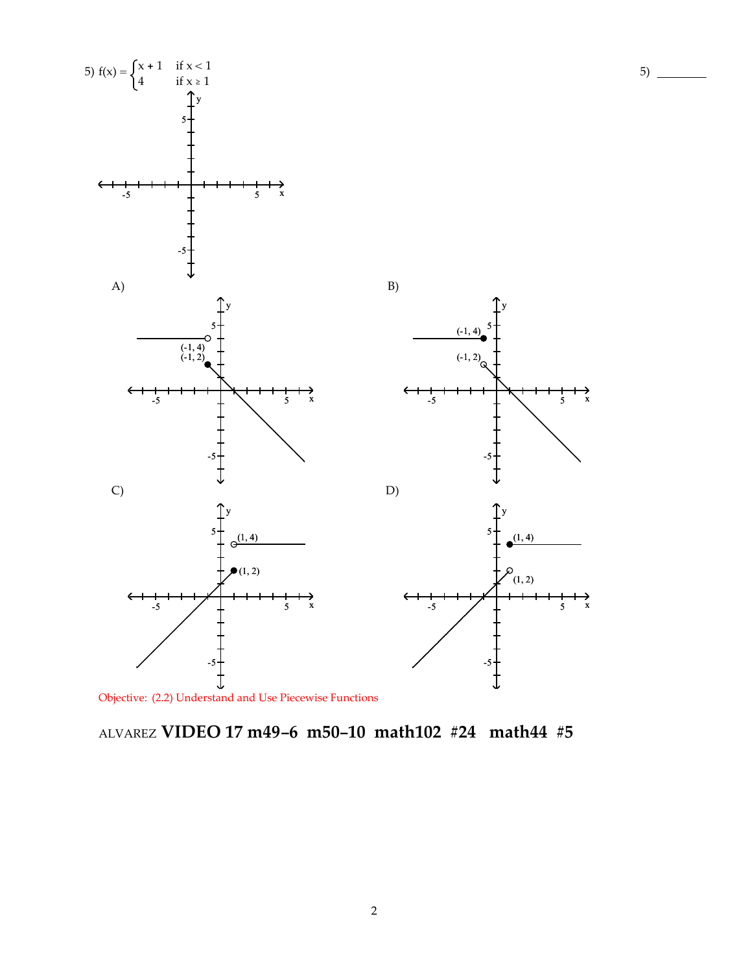

5)

Objective: (2.2) Understand and Use Piecewise Functions

# ALVAREZ **VIDEO 17 m49-6 m50-10 math102 #24 math44 #5**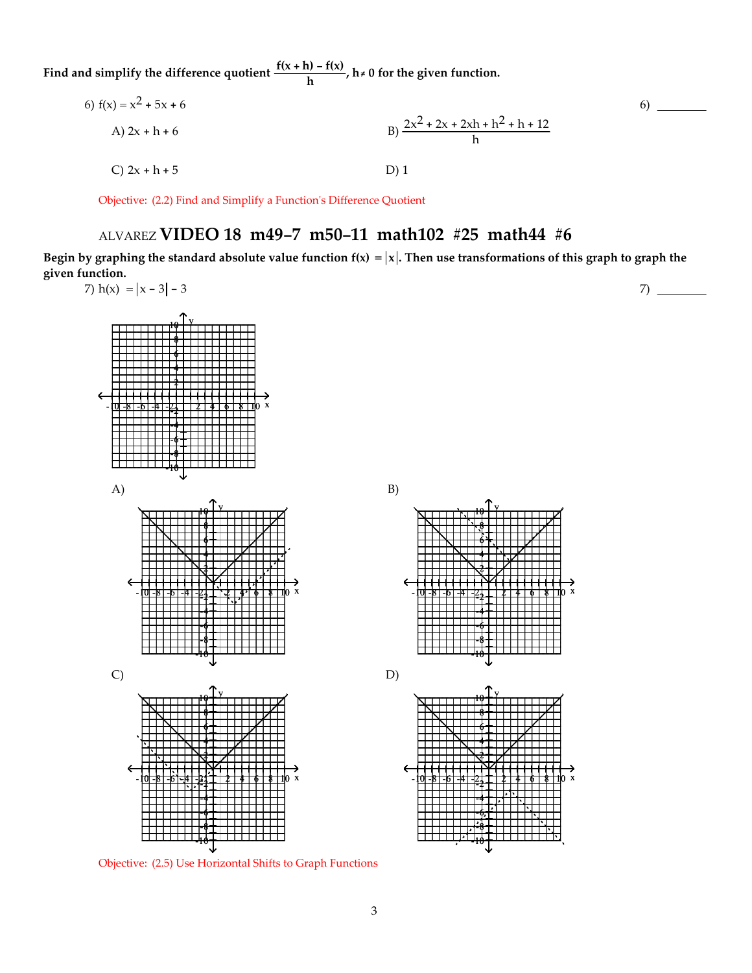**Find** and simplify the difference quotient  $\frac{f(x+h) - f(x)}{h}$ ,  $h \neq 0$  for the given function.

6) 
$$
f(x) = x^2 + 5x + 6
$$
  
\nA)  $2x + h + 6$   
\nB)  $\frac{2x^2 + 2x + 2xh + h^2 + h + 12}{h}$   
\nC)  $2x + h + 5$   
\nD) 1

Objective: (2.2) Find and Simplify a Functionʹs Difference Quotient

# ALVAREZ **VIDEO 18 m49-7 m50-11 math102 #25 math44 #6**

Begin by graphing the standard absolute value function  $f(x) = |x|$ . Then use transformations of this graph to graph the **given function.**

 $6)$   $-$ 



Objective: (2.5) Use Horizontal Shifts to Graph Functions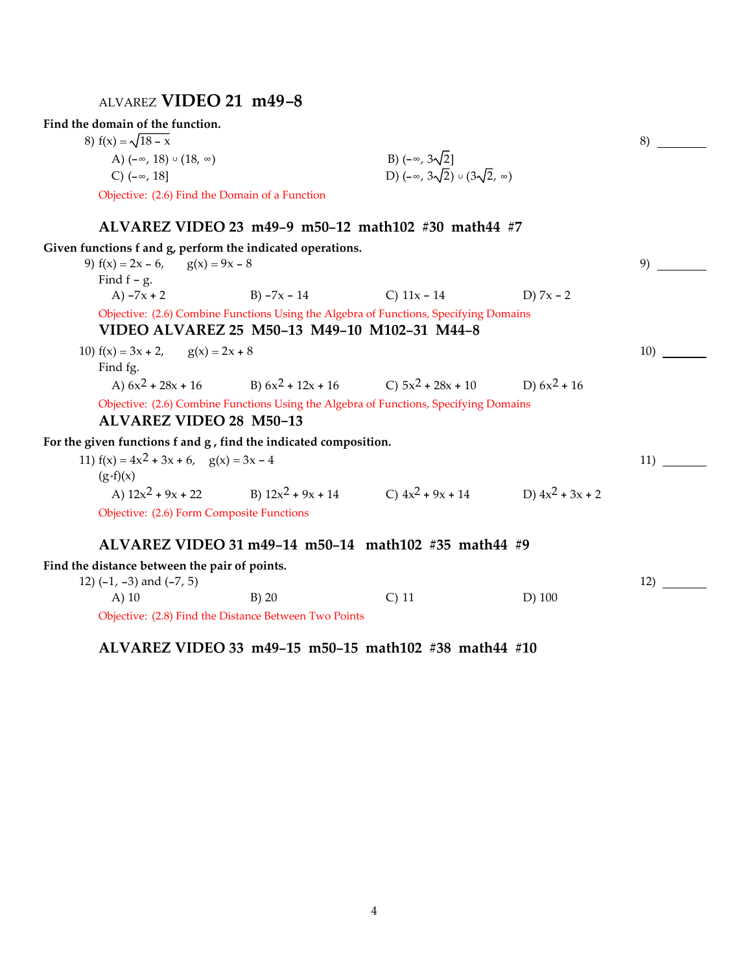# ALVAREZ **VIDEO 21 m49-8**

## **Find the domain of the function.**

| 8) $f(x) = \sqrt{18 - x}$                      |                                                    |  |
|------------------------------------------------|----------------------------------------------------|--|
| A) $(-\infty, 18) \cup (18, \infty)$           | B) $(-\infty, 3\sqrt{2}]$                          |  |
| C) $(-\infty, 18]$                             | D) $(-\infty, 3\sqrt{2}) \cup (3\sqrt{2}, \infty)$ |  |
| Objective: (2.6) Find the Domain of a Function |                                                    |  |

# **ALVAREZ VIDEO 23 m49-9 m50-12 math102 #30 math44 #7**

| Given functions f and g, perform the indicated operations.                                         |                                                                                       |         |             |     |
|----------------------------------------------------------------------------------------------------|---------------------------------------------------------------------------------------|---------|-------------|-----|
| 9) $f(x) = 2x - 6$ , $g(x) = 9x - 8$                                                               |                                                                                       |         |             | 9)  |
| Find $f - g$ .                                                                                     |                                                                                       |         |             |     |
|                                                                                                    | A) $-7x + 2$ B) $-7x - 14$ C) $11x - 14$                                              |         | D) $7x - 2$ |     |
|                                                                                                    | Objective: (2.6) Combine Functions Using the Algebra of Functions, Specifying Domains |         |             |     |
|                                                                                                    | VIDEO ALVAREZ 25 M50-13 M49-10 M102-31 M44-8                                          |         |             |     |
| 10) $f(x) = 3x + 2$ , $g(x) = 2x + 8$<br>Find fg.                                                  |                                                                                       |         |             | 10) |
|                                                                                                    | A) $6x^2 + 28x + 16$ B) $6x^2 + 12x + 16$ C) $5x^2 + 28x + 10$ D) $6x^2 + 16$         |         |             |     |
| <b>ALVAREZ VIDEO 28 M50-13</b><br>For the given functions f and g, find the indicated composition. | Objective: (2.6) Combine Functions Using the Algebra of Functions, Specifying Domains |         |             |     |
| 11) $f(x) = 4x^2 + 3x + 6$ , $g(x) = 3x - 4$<br>$(g \circ f)(x)$                                   |                                                                                       |         |             | 11) |
|                                                                                                    | A) $12x^2 + 9x + 22$ B) $12x^2 + 9x + 14$ C) $4x^2 + 9x + 14$ D) $4x^2 + 3x + 2$      |         |             |     |
|                                                                                                    | Objective: (2.6) Form Composite Functions                                             |         |             |     |
|                                                                                                    | ALVAREZ VIDEO 31 m49-14 m50-14 math102 #35 math44 #9                                  |         |             |     |
| Find the distance between the pair of points.                                                      |                                                                                       |         |             |     |
| 12) $(-1, -3)$ and $(-7, 5)$                                                                       |                                                                                       |         |             | 12) |
| $(A)$ 10                                                                                           | $B)$ 20                                                                               | $C)$ 11 | $D)$ 100    |     |
|                                                                                                    | Objective: (2.8) Find the Distance Between Two Points                                 |         |             |     |

**ALVAREZ VIDEO 33 m49-15 m50-15 math102 #38 math44 #10**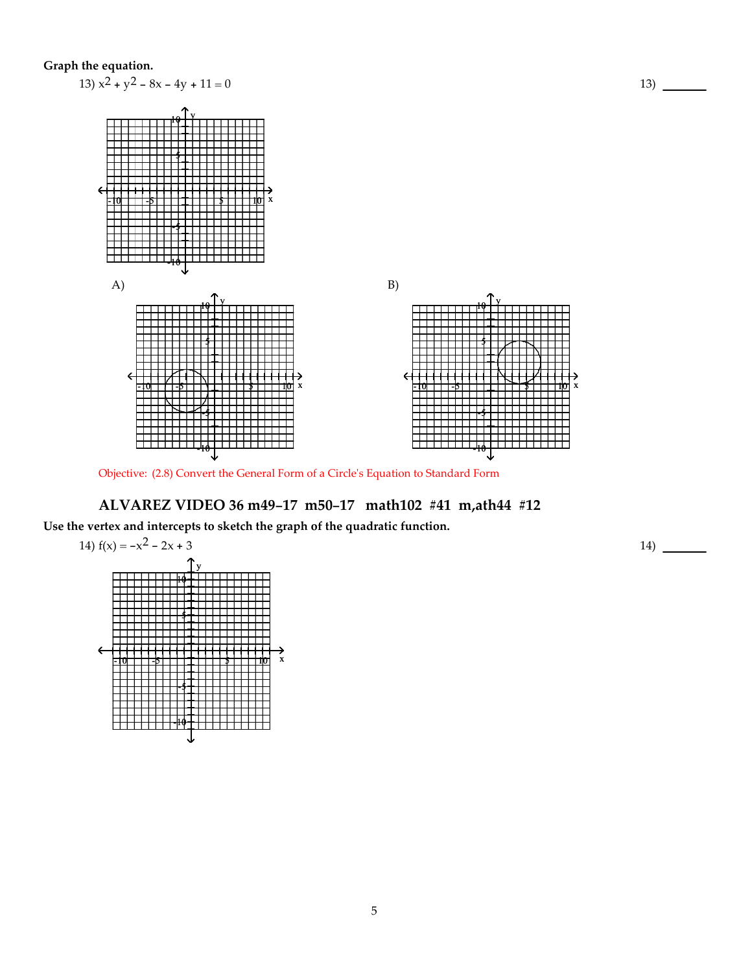### **Graph the equation.**



Objective: (2.8) Convert the General Form of a Circleʹs Equation to Standard Form

## **ALVAREZ VIDEO 36 m49-17 m50-17 math102 #41 m,ath44 #12**

**Use the vertex and intercepts to sketch the graph of the quadratic function.**



14)

 $13)$  —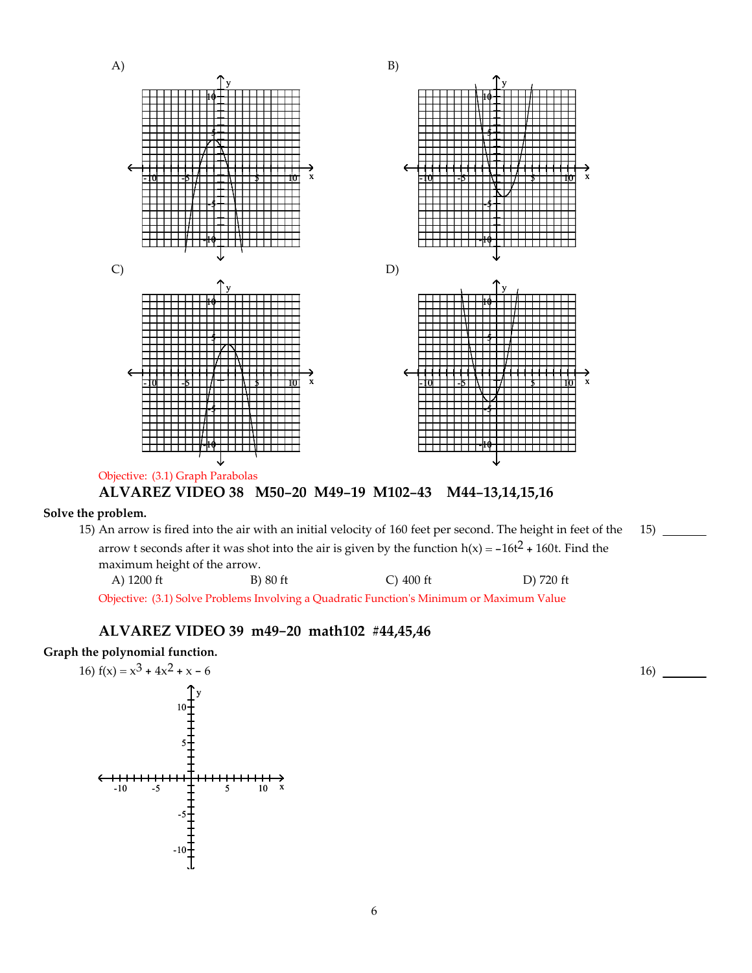

15) An arrow is fired into the air with an initial velocity of 160 feet per second. The height in feet of the arrow t seconds after it was shot into the air is given by the function  $h(x) = -16t^2 + 160t$ . Find the maximum height of the arrow. A) 1200 ft B) 80 ft C) 400 ft D) 720 ft 15)

Objective: (3.1) Solve Problems Involving a Quadratic Functionʹs Minimum or Maximum Value

# **ALVAREZ VIDEO 39 m49-20 math102 #44,45,46**

**Graph the polynomial function.**



16)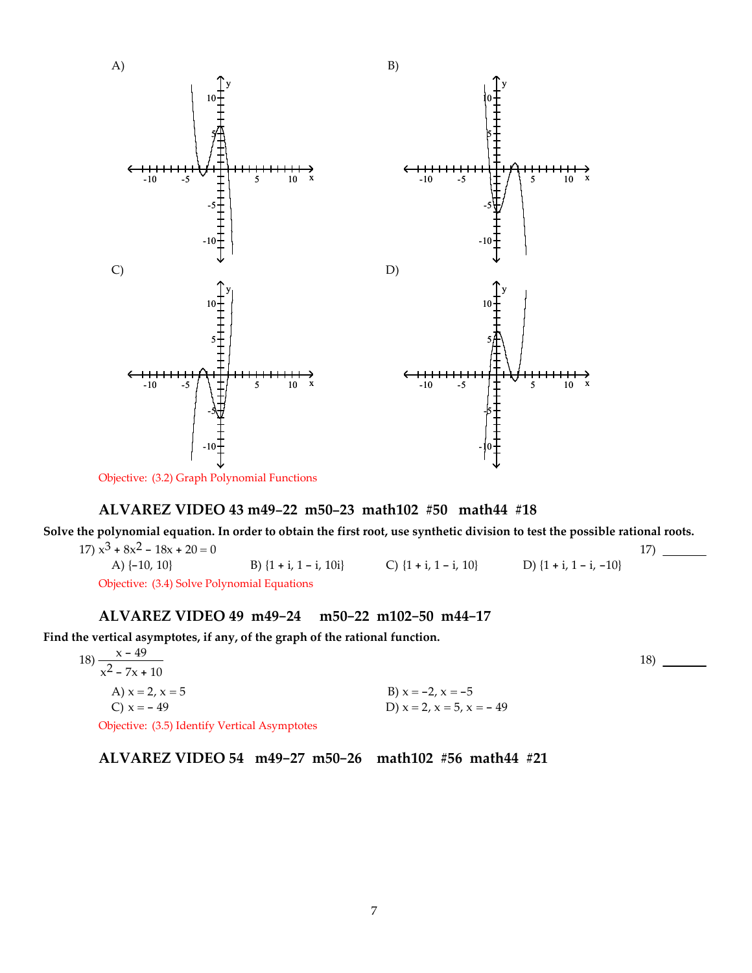

Objective: (3.2) Graph Polynomial Functions

## **ALVAREZ VIDEO 43 m49-22 m50-23 math102 #50 math44 #18**

Solve the polynomial equation. In order to obtain the first root, use synthetic division to test the possible rational roots.

17)  $x^3 + 8x^2 - 18x + 20 = 0$ A) {-10, 10} B) {1 + i, 1 - i, 10i} C) {1 + i, 1 - i, 10} D) {1 + i, 1 - i, -10} 17) Objective: (3.4) Solve Polynomial Equations

## **ALVAREZ VIDEO 49 m49-24 m50-22 m102-50 m44-17**

**Find the vertical asymptotes, if any, of the graph of the rational function.**

| $x - 49$<br>18)                               |                                  | 18) |
|-----------------------------------------------|----------------------------------|-----|
| $\overline{x^2 - 7x + 10}$                    |                                  |     |
| A) $x = 2, x = 5$                             | B) $x = -2$ , $x = -5$           |     |
| C) $x = -49$                                  | D) $x = 2$ , $x = 5$ , $x = -49$ |     |
| Objective: (3.5) Identify Vertical Asymptotes |                                  |     |

**ALVAREZ VIDEO 54 m49-27 m50-26 math102 #56 math44 #21**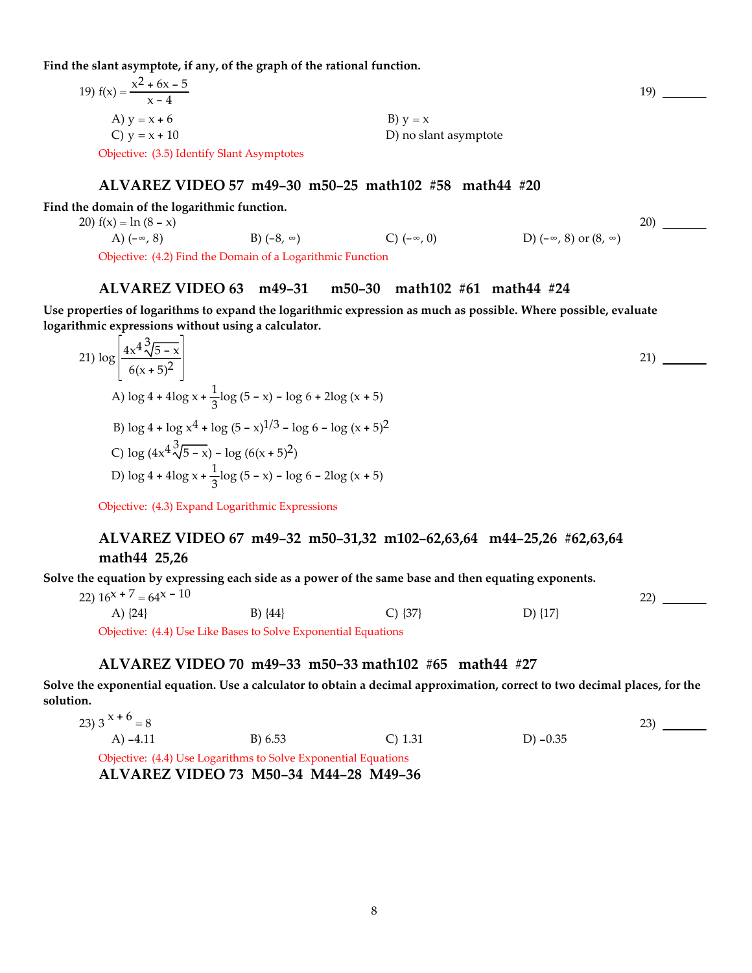**Find the slant asymptote, if any, of the graph of the rational function.**

| 19) $f(x) = \frac{x^2 + 6x - 5}{x - 4}$    |                       |
|--------------------------------------------|-----------------------|
| A) $y = x + 6$                             | $B)$ $y = x$          |
| C) $y = x + 10$                            | D) no slant asymptote |
| Objective: (3.5) Identify Slant Asymptotes |                       |

#### **ALVAREZ VIDEO 57 m49-30 m50-25 math102 #58 math44 #20**

**Find the domain of the logarithmic function.**

20)  $f(x) = \ln (8 - x)$ A) (-∞, 8) B) (-8, ∞) C) (-∞, 0) D) (-∞, 8) or (8, ∞) 20) Objective: (4.2) Find the Domain of a Logarithmic Function

#### **ALVAREZ VIDEO 63 m49-31 m50-30 math102 #61 math44 #24**

**Use properties of logarithms to expand the logarithmic expression as much as possible. Where possible, evaluate logarithmic expressions without using a calculator.**

21) 
$$
\log \left| \frac{4x^4 \sqrt[3]{5 - x}}{6(x + 5)^2} \right|
$$
  
\n22) \_\_\_\_\_\_\_  
\nA)  $\log 4 + 4\log x + \frac{1}{3}\log (5 - x) - \log 6 + 2\log (x + 5)$   
\nB)  $\log 4 + \log x^4 + \log (5 - x)^{1/3} - \log 6 - \log (x + 5)^2$   
\nC)  $\log (4x^4 \sqrt[3]{5 - x}) - \log (6(x + 5)^2)$   
\nD)  $\log 4 + 4\log x + \frac{1}{3}\log (5 - x) - \log 6 - 2\log (x + 5)$   
\nObjective: (4.3) Expand Logarithmic Expressions

## **ALVAREZ VIDEO 67 m49-32 m50-31,32 m102-62,63,64 m44-25,26 #62,63,64 math44 25,26**

Solve the equation by expressing each side as a power of the same base and then equating exponents.

22)  $16^{x} + 7 = 64^{x} - 10$ A)  $\{24\}$  B)  $\{44\}$  C)  $\{37\}$  D)  $\{17\}$ 

Objective: (4.4) Use Like Bases to Solve Exponential Equations

#### **ALVAREZ VIDEO 70 m49-33 m50-33 math102 #65 math44 #27**

Solve the exponential equation. Use a calculator to obtain a decimal approximation, correct to two decimal places, for the **solution.**

23) 3  $x + 6 = 8$ A) -4.11 B) 6.53 C) 1.31 D) -0.35 23) Objective: (4.4) Use Logarithms to Solve Exponential Equations

**ALVAREZ VIDEO 73 M50-34 M44-28 M49-36**

19)

22)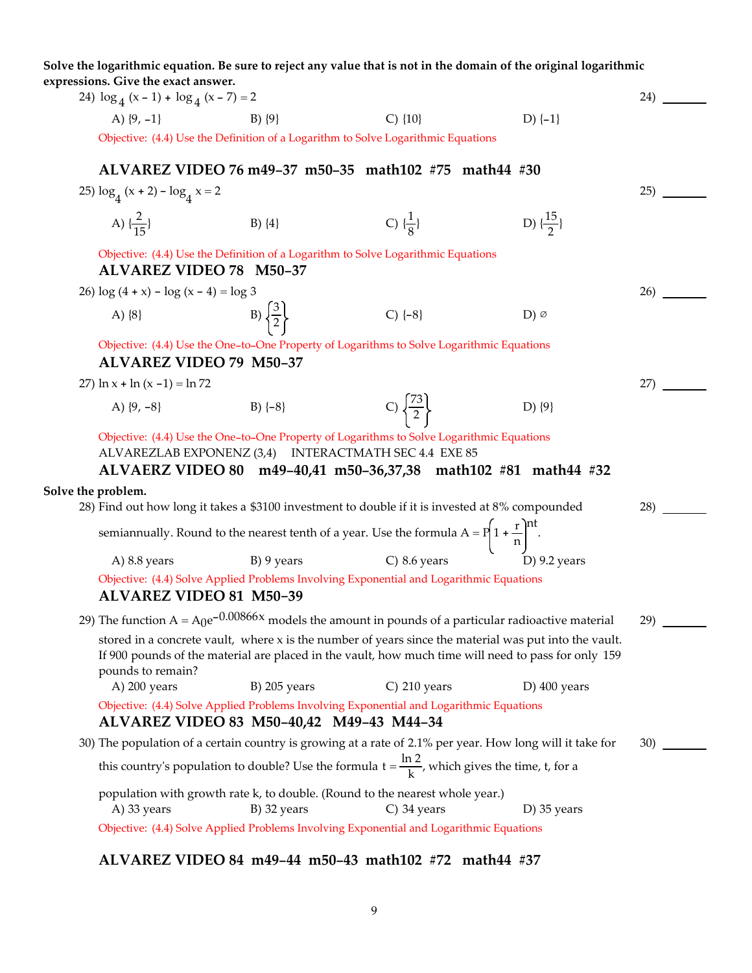Solve the logarithmic equation. Be sure to reject any value that is not in the domain of the original logarithmic **expressions. Give the exact answer.** 24)  $\log_4(x-1) + \log_4(x-7) = 2$ A)  $\{9, -1\}$  B)  $\{9\}$  C)  $\{10\}$  D)  $\{-1\}$ 24) Objective: (4.4) Use the Definition of a Logarithm to Solve Logarithmic Equations **ALVAREZ VIDEO 76 m49-37 m50-35 math102 #75 math44 #30** 25)  $\log_4(x+2) - \log_4 x = 2$ A)  $\{\frac{2}{15}\}$  $\frac{2}{15}$ } B) {4} C) { $\frac{1}{8}$  $\frac{1}{8}$ } D)  $\{\frac{15}{2}\}$  $^{25)}$   $\frac{ }{ }$ Objective: (4.4) Use the Definition of a Logarithm to Solve Logarithmic Equations **ALVAREZ VIDEO 78 M50-37** 26)  $log(4 + x) - log(x - 4) = log 3$ A)  $\{8\}$  B)  $\left\{\frac{3}{2}\right\}$  $\frac{6}{2}$  C) {-8} D) ∅  $26)$  — Objective: (4.4) Use the One-to-One Property of Logarithms to Solve Logarithmic Equations **ALVAREZ VIDEO 79 M50-37** 27)  $\ln x + \ln (x - 1) = \ln 72$ A)  $\{9, -8\}$  B)  $\{-8\}$  C)  $\left\{\frac{73}{2}\right\}$  D)  $\{9\}$ 27) Objective: (4.4) Use the One-to-One Property of Logarithms to Solve Logarithmic Equations ALVAREZLAB EXPONENZ (3,4) INTERACTMATH SEC 4.4 EXE 85 **ALVAERZ VIDEO 80 m49-40,41 m50-36,37,38 math102 #81 math44 #32 Solve the problem.** 28) Find out how long it takes a \$3100 investment to double if it is invested at 8% compounded semiannually. Round to the nearest tenth of a year. Use the formula  $A = P\left(1 + \frac{r}{n}\right)^{nt}$ . A) 8.8 years B) 9 years C) 8.6 years 28) Objective: (4.4) Solve Applied Problems Involving Exponential and Logarithmic Equations **ALVAREZ VIDEO 81 M50-39** 29) The function  $A = A_0e^{-0.00866x}$  models the amount in pounds of a particular radioactive material stored in a concrete vault, where x is the number of years since the material was put into the vault. If 900 pounds of the material are placed in the vault, how much time will need to pass for only 159 pounds to remain? A) 200 years B) 205 years C) 210 years D) 400 years  $29$   $\qquad$ Objective: (4.4) Solve Applied Problems Involving Exponential and Logarithmic Equations **ALVAREZ VIDEO 83 M50-40,42 M49-43 M44-34** 30) The population of a certain country is growing at a rate of 2.1% per year. How long will it take for this country's population to double? Use the formula  $t = \frac{\ln 2}{k}$ , which gives the time, t, for a population with growth rate k, to double. (Round to the nearest whole year.) A) 33 years B) 32 years C) 34 years D) 35 years 30) Objective: (4.4) Solve Applied Problems Involving Exponential and Logarithmic Equations

### **ALVAREZ VIDEO 84 m49-44 m50-43 math102 #72 math44 #37**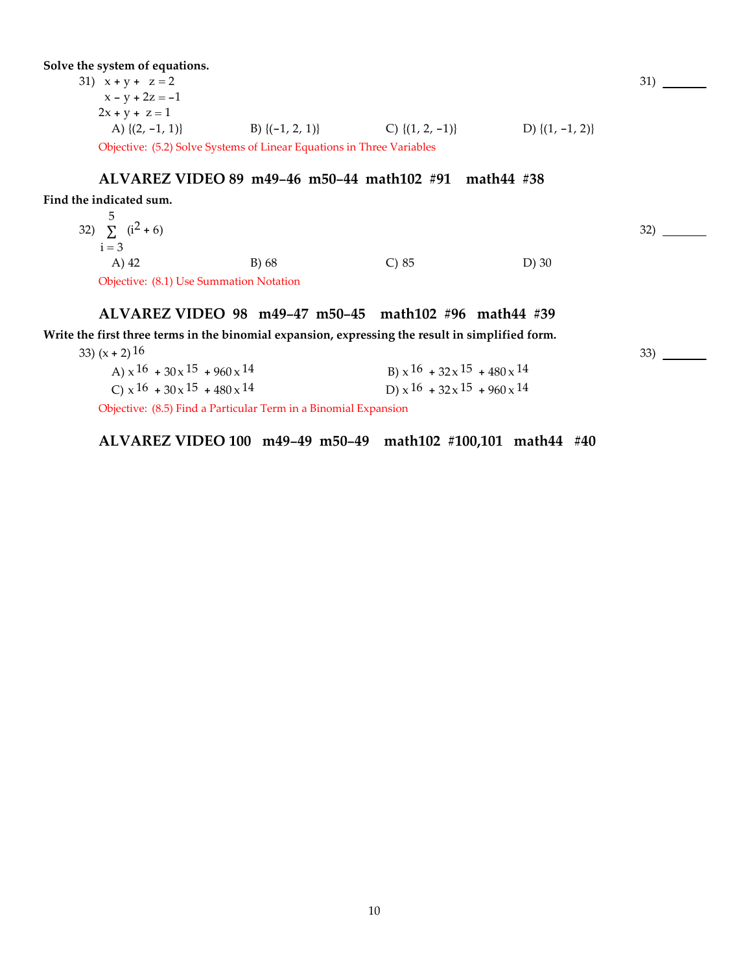**Solve the system of equations.**

31)  $x + y + z = 2$  $x - y + 2z = -1$  $2x + y + z = 1$ A)  $\{(2, -1, 1)\}$  B)  $\{(-1, 2, 1)\}$  C)  $\{(1, 2, -1)\}$  D)  $\{(1, -1, 2)\}$ Objective: (5.2) Solve Systems of Linear Equations in Three Variables

#### **ALVAREZ VIDEO 89 m49-46 m50-44 math102 #91 math44 #38**

**Find the indicated sum.**

32)  $\sum (i^2 + 6)$ 5  $i = 3$ A) 42 B) 68 C) 85 D) 30

Objective: (8.1) Use Summation Notation

#### **ALVAREZ VIDEO 98 m49-47 m50-45 math102 #96 math44 #39**

**Write the first three terms in the binomial expansion, expressing the result in simplified form.**

| 33) $(x + 2)$ 16                                  |  |                                                   |  |
|---------------------------------------------------|--|---------------------------------------------------|--|
| A) $\times$ 16 + 30 $\times$ 15 + 960 $\times$ 14 |  | B) $\times$ 16 + 32 $\times$ 15 + 480 $\times$ 14 |  |
| C) $x^{16}$ + 30 $x^{15}$ + 480 $x^{14}$          |  | D) $\times$ 16 + 32 $\times$ 15 + 960 $\times$ 14 |  |
| $(0.7 \times 1 \times 1)$                         |  |                                                   |  |

Objective: (8.5) Find a Particular Term in a Binomial Expansion

**ALVAREZ VIDEO 100 m49-49 m50-49 math102 #100,101 math44 #40**

31)

32)

33)